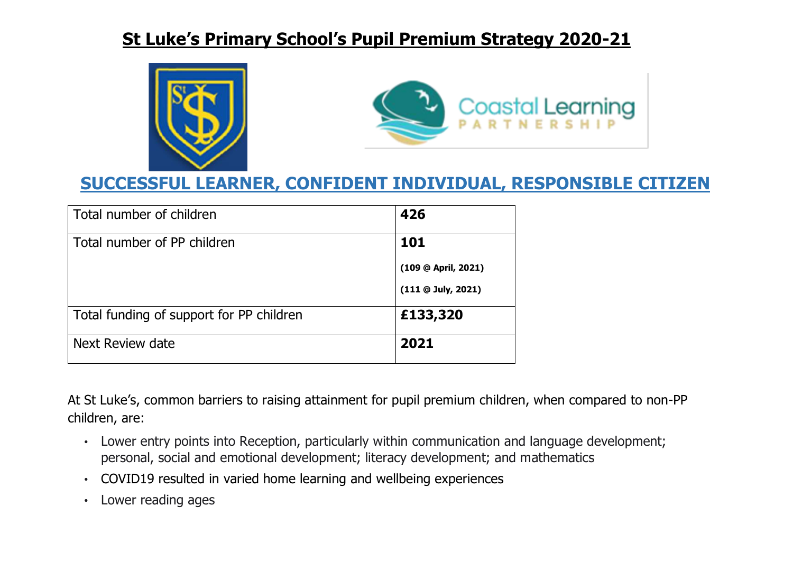



### **SUCCESSFUL LEARNER, CONFIDENT INDIVIDUAL, RESPONSIBLE CITIZEN**

| Total number of children                 | 426                       |
|------------------------------------------|---------------------------|
| Total number of PP children              | 101                       |
|                                          | (109 @ April, 2021)       |
|                                          | $(111 \oplus$ July, 2021) |
| Total funding of support for PP children | £133,320                  |
| Next Review date                         | 2021                      |

At St Luke's, common barriers to raising attainment for pupil premium children, when compared to non-PP children, are:

- Lower entry points into Reception, particularly within communication and language development; personal, social and emotional development; literacy development; and mathematics
- COVID19 resulted in varied home learning and wellbeing experiences
- Lower reading ages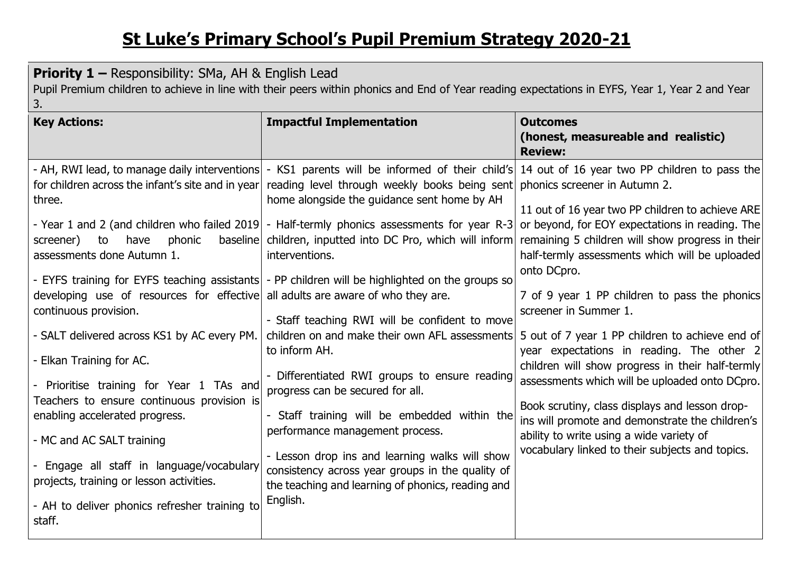| <b>Priority 1 – Responsibility: SMa, AH &amp; English Lead</b><br>Pupil Premium children to achieve in line with their peers within phonics and End of Year reading expectations in EYFS, Year 1, Year 2 and Year<br>3.                                                                                                                                                                                                                                                                                                                                                       |                                                                                                                                                                                                                                                                                                                                                                                                                                                                                                                                                                                                                                                                                                                                                                                                                                                                                                                                                                                                                                                      |                                                                                                                                                                                                                                                                                                                                                                                                                                                                                                                                                                                                                                                                                                                                               |  |  |
|-------------------------------------------------------------------------------------------------------------------------------------------------------------------------------------------------------------------------------------------------------------------------------------------------------------------------------------------------------------------------------------------------------------------------------------------------------------------------------------------------------------------------------------------------------------------------------|------------------------------------------------------------------------------------------------------------------------------------------------------------------------------------------------------------------------------------------------------------------------------------------------------------------------------------------------------------------------------------------------------------------------------------------------------------------------------------------------------------------------------------------------------------------------------------------------------------------------------------------------------------------------------------------------------------------------------------------------------------------------------------------------------------------------------------------------------------------------------------------------------------------------------------------------------------------------------------------------------------------------------------------------------|-----------------------------------------------------------------------------------------------------------------------------------------------------------------------------------------------------------------------------------------------------------------------------------------------------------------------------------------------------------------------------------------------------------------------------------------------------------------------------------------------------------------------------------------------------------------------------------------------------------------------------------------------------------------------------------------------------------------------------------------------|--|--|
| <b>Key Actions:</b>                                                                                                                                                                                                                                                                                                                                                                                                                                                                                                                                                           | <b>Impactful Implementation</b>                                                                                                                                                                                                                                                                                                                                                                                                                                                                                                                                                                                                                                                                                                                                                                                                                                                                                                                                                                                                                      | <b>Outcomes</b><br>(honest, measureable and realistic)<br><b>Review:</b>                                                                                                                                                                                                                                                                                                                                                                                                                                                                                                                                                                                                                                                                      |  |  |
| three.<br>screener)<br>to<br>phonic<br>have<br>assessments done Autumn 1.<br>developing use of resources for effective all adults are aware of who they are.<br>continuous provision.<br>- SALT delivered across KS1 by AC every PM.<br>- Elkan Training for AC.<br>- Prioritise training for Year 1 TAs and<br>Teachers to ensure continuous provision is<br>enabling accelerated progress.<br>- MC and AC SALT training<br>- Engage all staff in language/vocabulary<br>projects, training or lesson activities.<br>- AH to deliver phonics refresher training to<br>staff. | - AH, RWI lead, to manage daily interventions - KS1 parents will be informed of their child's 14 out of 16 year two PP children to pass the<br>for children across the infant's site and in year reading level through weekly books being sent<br>home alongside the guidance sent home by AH<br>- Year 1 and 2 (and children who failed 2019) - Half-termly phonics assessments for year R-3<br>baseline children, inputted into DC Pro, which will inform<br>interventions.<br>- EYFS training for EYFS teaching assistants - PP children will be highlighted on the groups so<br>- Staff teaching RWI will be confident to move<br>children on and make their own AFL assessments<br>to inform AH.<br>- Differentiated RWI groups to ensure reading<br>progress can be secured for all.<br>- Staff training will be embedded within the<br>performance management process.<br>- Lesson drop ins and learning walks will show<br>consistency across year groups in the quality of<br>the teaching and learning of phonics, reading and<br>English. | phonics screener in Autumn 2.<br>11 out of 16 year two PP children to achieve ARE<br>or beyond, for EOY expectations in reading. The<br>remaining 5 children will show progress in their<br>half-termly assessments which will be uploaded<br>onto DCpro.<br>7 of 9 year 1 PP children to pass the phonics<br>screener in Summer 1.<br>5 out of 7 year 1 PP children to achieve end of<br>year expectations in reading. The other 2<br>children will show progress in their half-termly<br>assessments which will be uploaded onto DCpro.<br>Book scrutiny, class displays and lesson drop-<br>ins will promote and demonstrate the children's<br>ability to write using a wide variety of<br>vocabulary linked to their subjects and topics. |  |  |
|                                                                                                                                                                                                                                                                                                                                                                                                                                                                                                                                                                               |                                                                                                                                                                                                                                                                                                                                                                                                                                                                                                                                                                                                                                                                                                                                                                                                                                                                                                                                                                                                                                                      |                                                                                                                                                                                                                                                                                                                                                                                                                                                                                                                                                                                                                                                                                                                                               |  |  |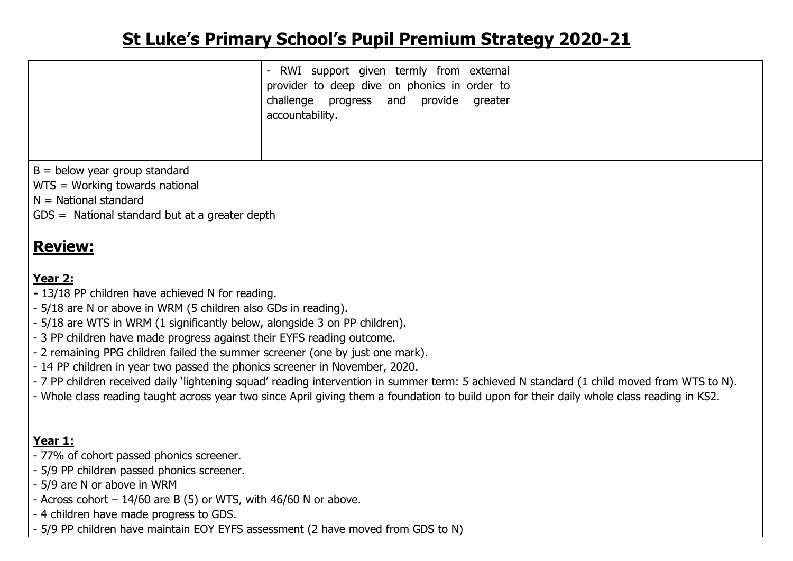|                                                                                                                                                                                                                                                                                                                                                                                                                                                                                                                                                                                                                                                                                                                                                                       | RWI support given termly from external<br>$\overline{\phantom{a}}$<br>provider to deep dive on phonics in order to<br>challenge progress and provide<br>greater<br>accountability. |  |  |  |
|-----------------------------------------------------------------------------------------------------------------------------------------------------------------------------------------------------------------------------------------------------------------------------------------------------------------------------------------------------------------------------------------------------------------------------------------------------------------------------------------------------------------------------------------------------------------------------------------------------------------------------------------------------------------------------------------------------------------------------------------------------------------------|------------------------------------------------------------------------------------------------------------------------------------------------------------------------------------|--|--|--|
| $B =$ below year group standard<br>WTS = Working towards national<br>$N =$ National standard<br>$GDS =$ National standard but at a greater depth                                                                                                                                                                                                                                                                                                                                                                                                                                                                                                                                                                                                                      |                                                                                                                                                                                    |  |  |  |
| <b>Review:</b><br>Year 2:<br>- 13/18 PP children have achieved N for reading.<br>- 5/18 are N or above in WRM (5 children also GDs in reading).<br>- 5/18 are WTS in WRM (1 significantly below, alongside 3 on PP children).<br>- 3 PP children have made progress against their EYFS reading outcome.<br>- 2 remaining PPG children failed the summer screener (one by just one mark).<br>- 14 PP children in year two passed the phonics screener in November, 2020.<br>- 7 PP children received daily 'lightening squad' reading intervention in summer term: 5 achieved N standard (1 child moved from WTS to N).<br>- Whole class reading taught across year two since April giving them a foundation to build upon for their daily whole class reading in KS2. |                                                                                                                                                                                    |  |  |  |
| Year 1:<br>- 77% of cohort passed phonics screener.<br>- 5/9 PP children passed phonics screener.<br>- 5/9 are N or above in WRM                                                                                                                                                                                                                                                                                                                                                                                                                                                                                                                                                                                                                                      |                                                                                                                                                                                    |  |  |  |

- Across cohort  $-14/60$  are B (5) or WTS, with 46/60 N or above.
- 4 children have made progress to GDS.
- 5/9 PP children have maintain EOY EYFS assessment (2 have moved from GDS to N)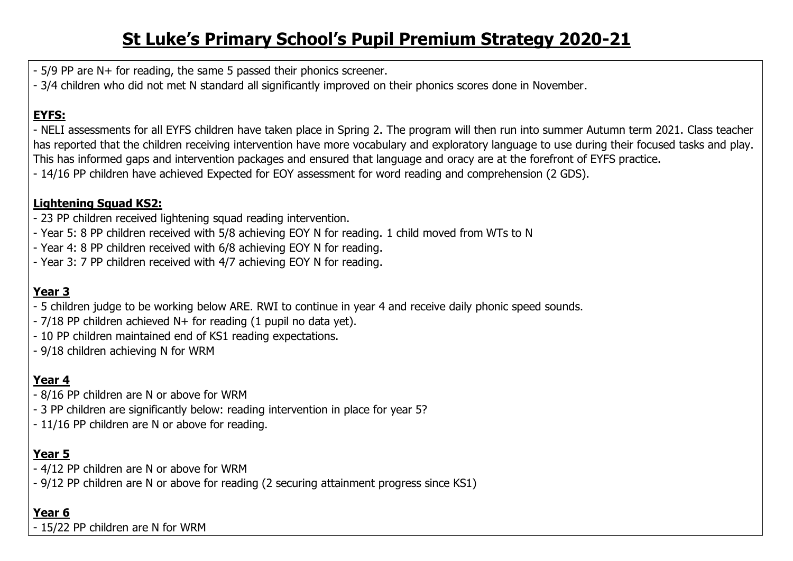- 5/9 PP are N+ for reading, the same 5 passed their phonics screener.
- 3/4 children who did not met N standard all significantly improved on their phonics scores done in November.

#### **EYFS:**

- NELI assessments for all EYFS children have taken place in Spring 2. The program will then run into summer Autumn term 2021. Class teacher has reported that the children receiving intervention have more vocabulary and exploratory language to use during their focused tasks and play. This has informed gaps and intervention packages and ensured that language and oracy are at the forefront of EYFS practice. - 14/16 PP children have achieved Expected for EOY assessment for word reading and comprehension (2 GDS).

#### **Lightening Squad KS2:**

- 23 PP children received lightening squad reading intervention.
- Year 5: 8 PP children received with 5/8 achieving EOY N for reading. 1 child moved from WTs to N
- Year 4: 8 PP children received with 6/8 achieving EOY N for reading.
- Year 3: 7 PP children received with 4/7 achieving EOY N for reading.

### **Year 3**

- 5 children judge to be working below ARE. RWI to continue in year 4 and receive daily phonic speed sounds.
- 7/18 PP children achieved N+ for reading (1 pupil no data yet).
- 10 PP children maintained end of KS1 reading expectations.
- 9/18 children achieving N for WRM

### **Year 4**

- 8/16 PP children are N or above for WRM
- 3 PP children are significantly below: reading intervention in place for year 5?
- 11/16 PP children are N or above for reading.

### **Year 5**

- 4/12 PP children are N or above for WRM
- 9/12 PP children are N or above for reading (2 securing attainment progress since KS1)

#### **Year 6**

- 15/22 PP children are N for WRM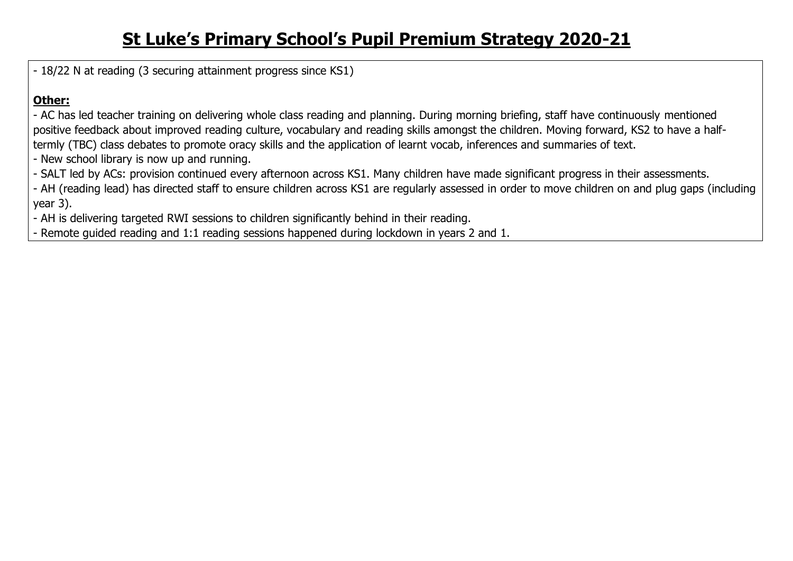- 18/22 N at reading (3 securing attainment progress since KS1)

#### **Other:**

- AC has led teacher training on delivering whole class reading and planning. During morning briefing, staff have continuously mentioned positive feedback about improved reading culture, vocabulary and reading skills amongst the children. Moving forward, KS2 to have a halftermly (TBC) class debates to promote oracy skills and the application of learnt vocab, inferences and summaries of text.

- New school library is now up and running.
- SALT led by ACs: provision continued every afternoon across KS1. Many children have made significant progress in their assessments.

- AH (reading lead) has directed staff to ensure children across KS1 are regularly assessed in order to move children on and plug gaps (including year 3).

- AH is delivering targeted RWI sessions to children significantly behind in their reading.

- Remote guided reading and 1:1 reading sessions happened during lockdown in years 2 and 1.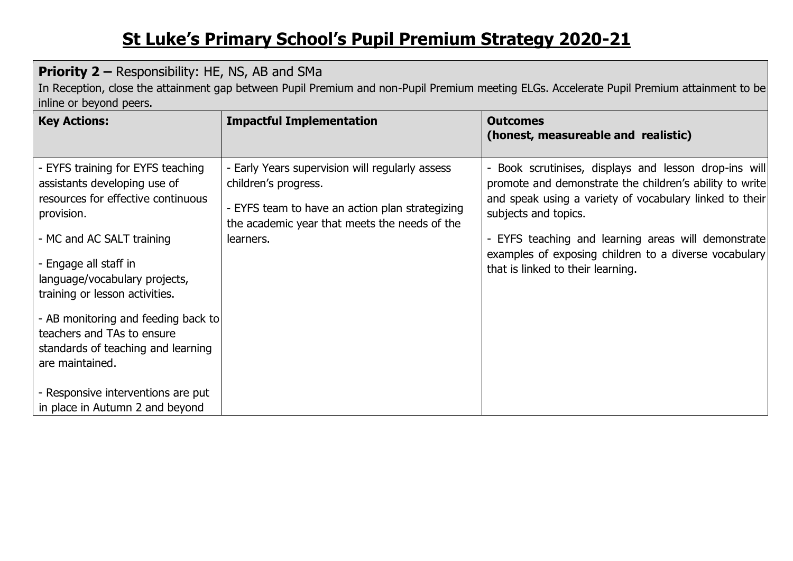#### **Priority 2 –** Responsibility: HE, NS, AB and SMa

In Reception, close the attainment gap between Pupil Premium and non-Pupil Premium meeting ELGs. Accelerate Pupil Premium attainment to be inline or beyond peers.

| <b>Key Actions:</b>                                                                                                        | <b>Impactful Implementation</b>                                                                                                                                             | <b>Outcomes</b><br>(honest, measureable and realistic)                                                                                                                                              |
|----------------------------------------------------------------------------------------------------------------------------|-----------------------------------------------------------------------------------------------------------------------------------------------------------------------------|-----------------------------------------------------------------------------------------------------------------------------------------------------------------------------------------------------|
| - EYFS training for EYFS teaching<br>assistants developing use of<br>resources for effective continuous<br>provision.      | - Early Years supervision will regularly assess<br>children's progress.<br>- EYFS team to have an action plan strategizing<br>the academic year that meets the needs of the | - Book scrutinises, displays and lesson drop-ins will<br>promote and demonstrate the children's ability to write<br>and speak using a variety of vocabulary linked to their<br>subjects and topics. |
| - MC and AC SALT training<br>- Engage all staff in<br>language/vocabulary projects,<br>training or lesson activities.      | learners.                                                                                                                                                                   | - EYFS teaching and learning areas will demonstrate<br>examples of exposing children to a diverse vocabulary<br>that is linked to their learning.                                                   |
| - AB monitoring and feeding back to<br>teachers and TAs to ensure<br>standards of teaching and learning<br>are maintained. |                                                                                                                                                                             |                                                                                                                                                                                                     |
| - Responsive interventions are put<br>in place in Autumn 2 and beyond                                                      |                                                                                                                                                                             |                                                                                                                                                                                                     |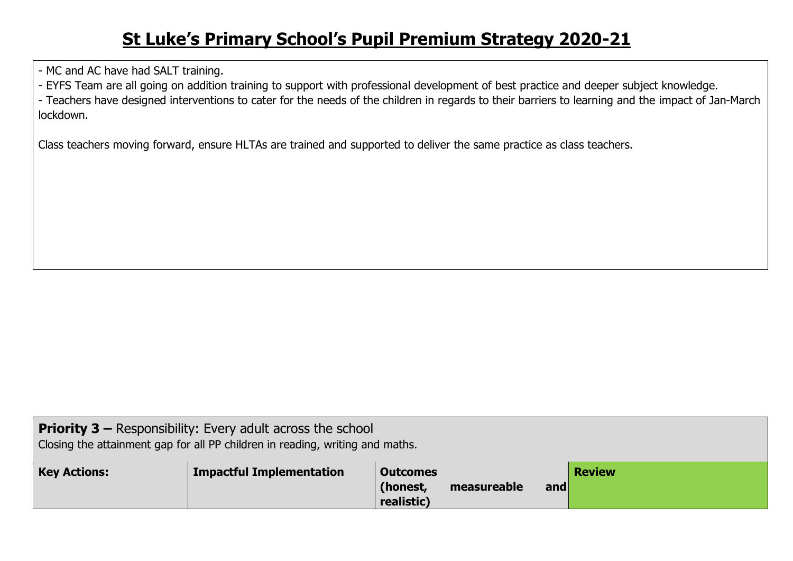- MC and AC have had SALT training.

- EYFS Team are all going on addition training to support with professional development of best practice and deeper subject knowledge.

- Teachers have designed interventions to cater for the needs of the children in regards to their barriers to learning and the impact of Jan-March lockdown.

Class teachers moving forward, ensure HLTAs are trained and supported to deliver the same practice as class teachers.

| <b>Priority 3 –</b> Responsibility: Every adult across the school<br>Closing the attainment gap for all PP children in reading, writing and maths. |                                 |                                           |             |     |               |
|----------------------------------------------------------------------------------------------------------------------------------------------------|---------------------------------|-------------------------------------------|-------------|-----|---------------|
| <b>Key Actions:</b>                                                                                                                                | <b>Impactful Implementation</b> | <b>Outcomes</b><br>(honest,<br>realistic) | measureable | and | <b>Review</b> |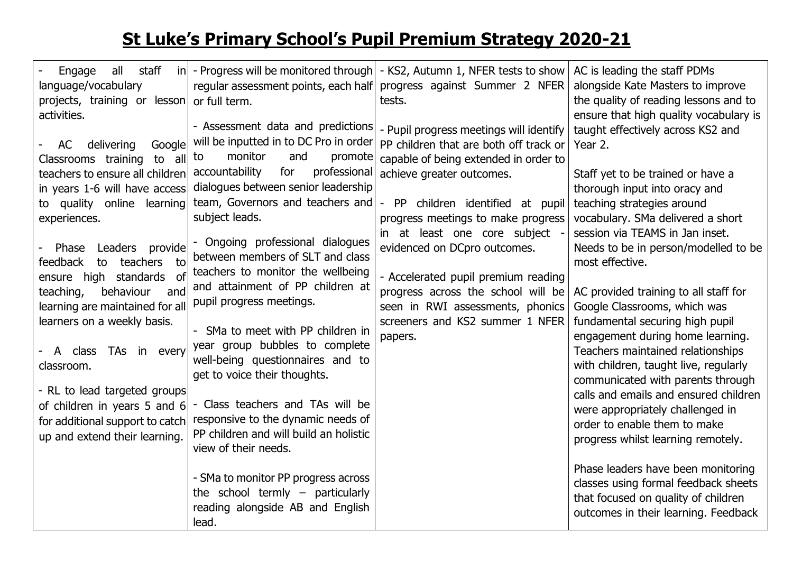| all<br>staff<br>Engage<br>language/vocabulary<br>projects, training or lesson<br>activities.<br>delivering<br>Google<br>AC                                                                                                                                                                                                                                               | regular assessment points, each half<br>or full term.<br>- Assessment data and predictions<br>will be inputted in to DC Pro in order                                                                                                                                                                                                                                                                                                                           | $\vert$ in $\vert$ - Progress will be monitored through $\vert$ - KS2, Autumn 1, NFER tests to show<br>progress against Summer 2 NFER<br>tests.<br>- Pupil progress meetings will identify<br>PP children that are both off track or | AC is leading the staff PDMs<br>alongside Kate Masters to improve<br>the quality of reading lessons and to<br>ensure that high quality vocabulary is<br>taught effectively across KS2 and<br>Year 2.                                                                                                                                                                                                                                                                          |
|--------------------------------------------------------------------------------------------------------------------------------------------------------------------------------------------------------------------------------------------------------------------------------------------------------------------------------------------------------------------------|----------------------------------------------------------------------------------------------------------------------------------------------------------------------------------------------------------------------------------------------------------------------------------------------------------------------------------------------------------------------------------------------------------------------------------------------------------------|--------------------------------------------------------------------------------------------------------------------------------------------------------------------------------------------------------------------------------------|-------------------------------------------------------------------------------------------------------------------------------------------------------------------------------------------------------------------------------------------------------------------------------------------------------------------------------------------------------------------------------------------------------------------------------------------------------------------------------|
| Classrooms training to all<br>teachers to ensure all children<br>in years 1-6 will have access<br>to quality online learning<br>experiences.                                                                                                                                                                                                                             | monitor<br>and<br>promote<br>to<br>for<br>professional<br>accountability<br>dialogues between senior leadership<br>team, Governors and teachers and<br>subject leads.                                                                                                                                                                                                                                                                                          | capable of being extended in order to<br>achieve greater outcomes.<br>PP children identified at pupil<br>$\overline{\phantom{a}}$<br>progress meetings to make progress<br>in at least one core subject                              | Staff yet to be trained or have a<br>thorough input into oracy and<br>teaching strategies around<br>vocabulary. SMa delivered a short<br>session via TEAMS in Jan inset.                                                                                                                                                                                                                                                                                                      |
| Phase Leaders provide<br>feedback<br>to<br>teachers<br>to<br>high standards of<br>ensure<br>behaviour<br>teaching,<br>and<br>learning are maintained for all<br>learners on a weekly basis.<br>TAs in every<br>A class<br>classroom.<br>- RL to lead targeted groups<br>of children in years 5 and 6<br>for additional support to catch<br>up and extend their learning. | Ongoing professional dialogues<br>between members of SLT and class<br>teachers to monitor the wellbeing<br>and attainment of PP children at<br>pupil progress meetings.<br>- SMa to meet with PP children in<br>year group bubbles to complete<br>well-being questionnaires and to<br>get to voice their thoughts.<br>- Class teachers and TAs will be<br>responsive to the dynamic needs of<br>PP children and will build an holistic<br>view of their needs. | evidenced on DCpro outcomes.<br>- Accelerated pupil premium reading<br>progress across the school will be<br>seen in RWI assessments, phonics<br>screeners and KS2 summer 1 NFER<br>papers.                                          | Needs to be in person/modelled to be<br>most effective.<br>AC provided training to all staff for<br>Google Classrooms, which was<br>fundamental securing high pupil<br>engagement during home learning.<br>Teachers maintained relationships<br>with children, taught live, regularly<br>communicated with parents through<br>calls and emails and ensured children<br>were appropriately challenged in<br>order to enable them to make<br>progress whilst learning remotely. |
|                                                                                                                                                                                                                                                                                                                                                                          | - SMa to monitor PP progress across<br>the school termly $-$ particularly<br>reading alongside AB and English<br>lead.                                                                                                                                                                                                                                                                                                                                         |                                                                                                                                                                                                                                      | Phase leaders have been monitoring<br>classes using formal feedback sheets<br>that focused on quality of children<br>outcomes in their learning. Feedback                                                                                                                                                                                                                                                                                                                     |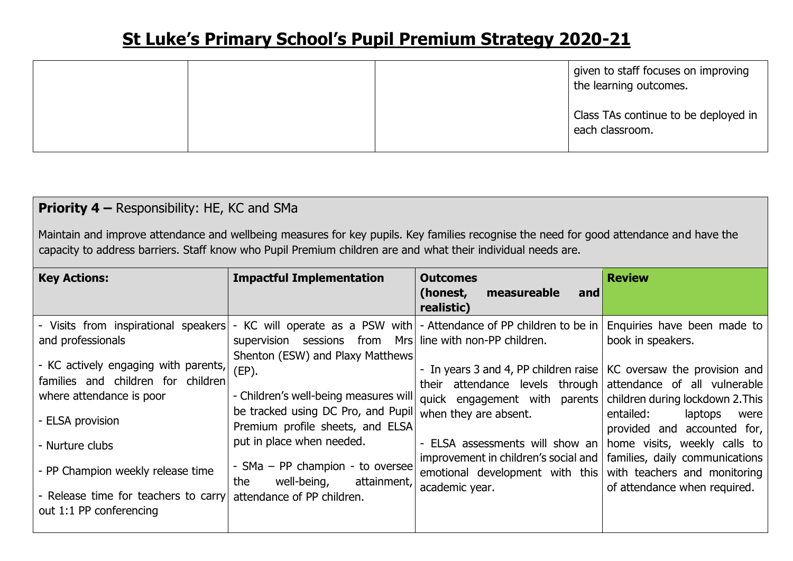|  | given to staff focuses on improving<br>I the learning outcomes. |
|--|-----------------------------------------------------------------|
|  | Class TAs continue to be deployed in<br>each classroom.         |

### **Priority 4 –** Responsibility: HE, KC and SMa

Maintain and improve attendance and wellbeing measures for key pupils. Key families recognise the need for good attendance and have the capacity to address barriers. Staff know who Pupil Premium children are and what their individual needs are.